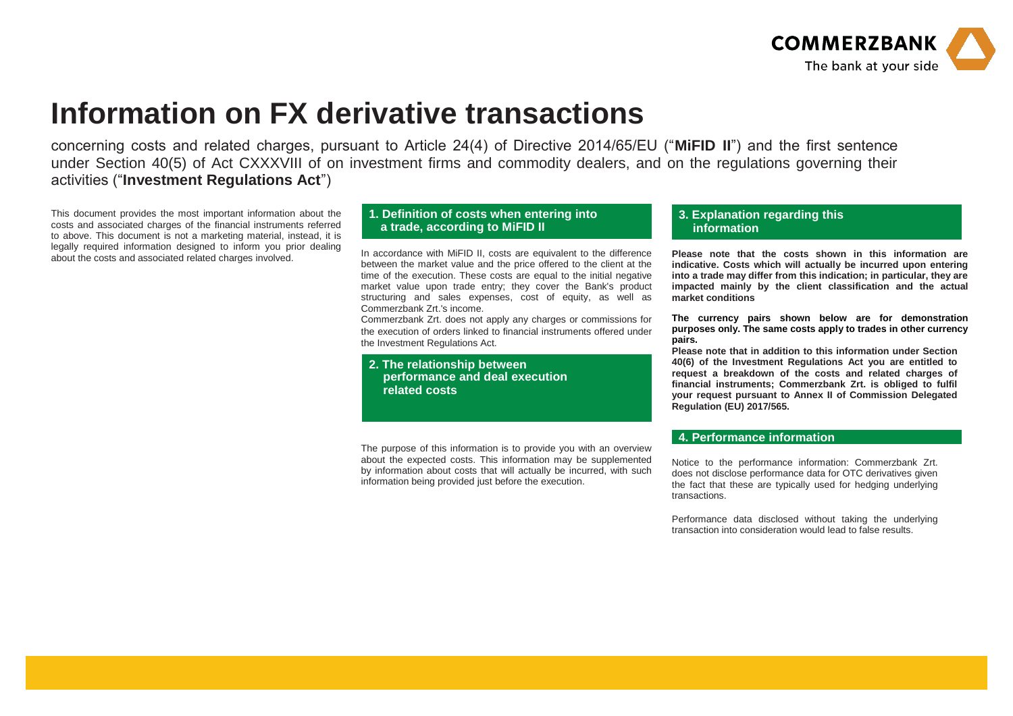

## **Information on FX derivative transactions**

concerning costs and related charges, pursuant to Article 24(4) of Directive 2014/65/EU ("**MiFID II**") and the first sentence under Section 40(5) of Act CXXXVIII of on investment firms and commodity dealers, and on the regulations governing their activities ("**Investment Regulations Act**")

This document provides the most important information about the costs and associated charges of the financial instruments referred to above. This document is not a marketing material, instead, it is legally required information designed to inform you prior dealing about the costs and associated related charges involved. In accordance with MiFID II, costs are equivalent to the difference

## **1. Definition of costs when entering into a trade, according to MiFID II**

between the market value and the price offered to the client at the time of the execution. These costs are equal to the initial negative market value upon trade entry; they cover the Bank's product structuring and sales expenses, cost of equity, as well as Commerzbank Zrt.'s income.

Commerzbank Zrt. does not apply any charges or commissions for the execution of orders linked to financial instruments offered under the Investment Regulations Act.

**2. The relationship between performance and deal execution related costs** 

The purpose of this information is to provide you with an overview about the expected costs. This information may be supplemented by information about costs that will actually be incurred, with such information being provided just before the execution.

## **3. Explanation regarding this information**

**Please note that the costs shown in this information are indicative. Costs which will actually be incurred upon entering into a trade may differ from this indication; in particular, they are impacted mainly by the client classification and the actual market conditions**

**The currency pairs shown below are for demonstration purposes only. The same costs apply to trades in other currency pairs.**

**Please note that in addition to this information under Section 40(6) of the Investment Regulations Act you are entitled to request a breakdown of the costs and related charges of financial instruments; Commerzbank Zrt. is obliged to fulfil your request pursuant to Annex II of Commission Delegated Regulation (EU) 2017/565.**

## **4. Performance information**

Notice to the performance information: Commerzbank Zrt. does not disclose performance data for OTC derivatives given the fact that these are typically used for hedging underlying transactions.

Performance data disclosed without taking the underlying transaction into consideration would lead to false results.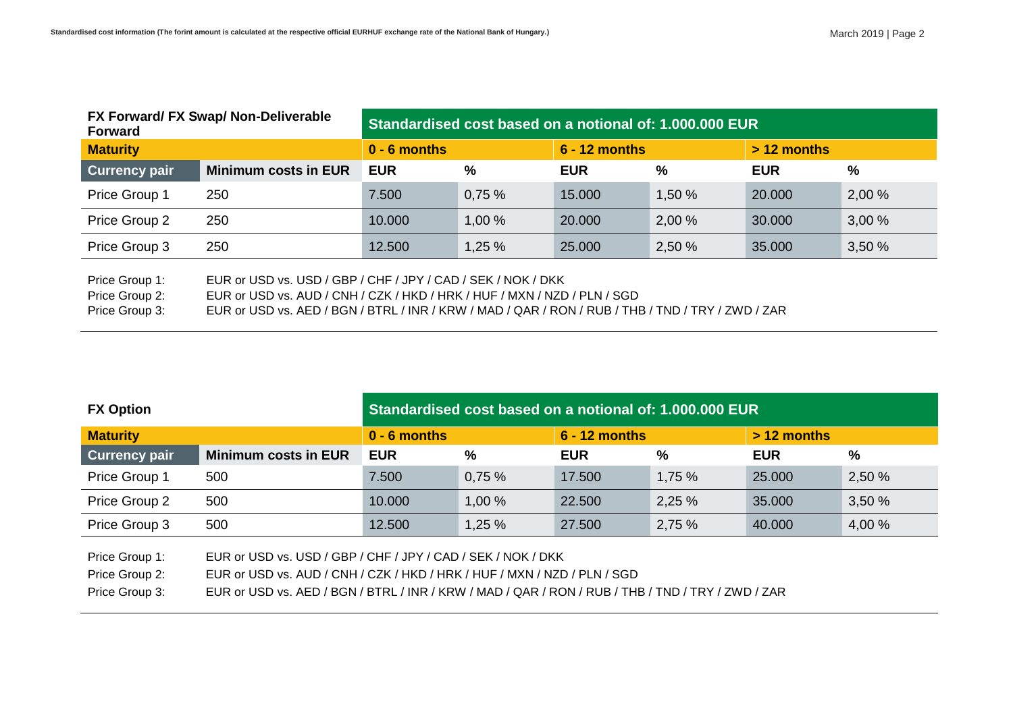| FX Forward/ FX Swap/ Non-Deliverable<br><b>Forward</b> |                                                              | Standardised cost based on a notional of: 1,000,000 EUR |        |                 |        |               |       |  |  |
|--------------------------------------------------------|--------------------------------------------------------------|---------------------------------------------------------|--------|-----------------|--------|---------------|-------|--|--|
| <b>Maturity</b>                                        |                                                              | $0 - 6$ months                                          |        | $6 - 12$ months |        | $> 12$ months |       |  |  |
| <b>Currency pair</b>                                   | <b>Minimum costs in EUR</b>                                  | <b>EUR</b>                                              | %      | <b>EUR</b>      | %      | <b>EUR</b>    | %     |  |  |
| Price Group 1                                          | 250                                                          | 7.500                                                   | 0.75%  | 15.000          | 1,50 % | 20.000        | 2,00% |  |  |
| Price Group 2                                          | 250                                                          | 10.000                                                  | 1,00 % | 20.000          | 2,00 % | 30.000        | 3,00% |  |  |
| Price Group 3                                          | 250                                                          | 12.500                                                  | 1,25%  | 25.000          | 2,50 % | 35.000        | 3,50% |  |  |
| Price Group 1:                                         | EUR or USD vs. USD / GBP / CHF / JPY / CAD / SEK / NOK / DKK |                                                         |        |                 |        |               |       |  |  |

Price Group 2: EUR or USD vs. AUD / CNH / CZK / HKD / HRK / HUF / MXN / NZD / PLN / SGD

Price Group 3: EUR or USD vs. AED / BGN / BTRL / INR / KRW / MAD / QAR / RON / RUB / THB / TND / TRY / ZWD / ZAR

| <b>FX Option</b>     |                                                              | Standardised cost based on a notional of: 1,000,000 EUR |       |                 |        |               |        |  |  |
|----------------------|--------------------------------------------------------------|---------------------------------------------------------|-------|-----------------|--------|---------------|--------|--|--|
| <b>Maturity</b>      |                                                              | $0 - 6$ months                                          |       | $6 - 12$ months |        | $> 12$ months |        |  |  |
| <b>Currency pair</b> | <b>Minimum costs in EUR</b>                                  | <b>EUR</b>                                              | %     | <b>EUR</b>      | %      | <b>EUR</b>    | $\%$   |  |  |
| Price Group 1        | 500                                                          | 7.500                                                   | 0.75% | 17.500          | 1,75%  | 25.000        | 2,50 % |  |  |
| Price Group 2        | 500                                                          | 10.000                                                  | 1,00% | 22,500          | 2,25%  | 35.000        | 3,50%  |  |  |
| Price Group 3        | 500                                                          | 12.500                                                  | 1,25% | 27.500          | 2,75 % | 40.000        | 4,00 % |  |  |
| Price Group 1:       | EUR or USD vs. USD / GBP / CHF / JPY / CAD / SEK / NOK / DKK |                                                         |       |                 |        |               |        |  |  |

Price Group 2: EUR or USD vs. AUD / CNH / CZK / HKD / HRK / HUF / MXN / NZD / PLN / SGD

Price Group 3: EUR or USD vs. AED / BGN / BTRL / INR / KRW / MAD / QAR / RON / RUB / THB / TND / TRY / ZWD / ZAR